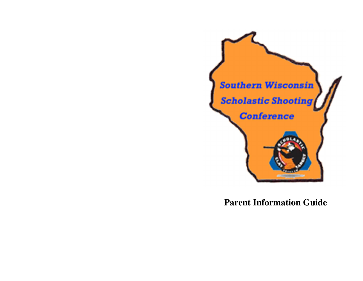

**Parent Information Guide**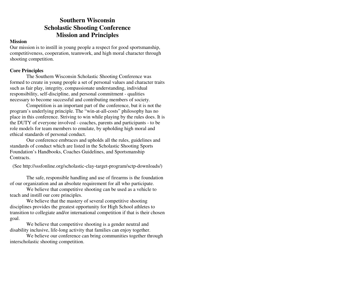# **Southern Wisconsin Scholastic Shooting Conference Mission and Principles**

#### **Mission**

 Our mission is to instill in young people a respect for good sportsmanship, competitiveness, cooperation, teamwork, and high moral character through shooting competition.

### **Core Principles**

 The Southern Wisconsin Scholastic Shooting Conference was formed to create in young people a set of personal values and character traits such as fair play, integrity, compassionate understanding, individual responsibility, self-discipline, and personal commitment - qualities necessary to become successful and contributing members of society.

 Competition is an important part of the conference, but it is not the program's underlying principle. The "win-at-all-costs" philosophy has no place in this conference. Striving to win while playing by the rules does. It is the DUTY of everyone involved - coaches, parents and participants - to be role models for team members to emulate, by upholding high moral and ethical standards of personal conduct.

 Our conference embraces and upholds all the rules, guidelines and standards of conduct which are listed in the Scholastic Shooting Sports Foundation's Handbooks, Coaches Guidelines, and Sportsmanship Contracts.

(See http://sssfonline.org/scholastic-clay-target-program/sctp-downloads/)

The safe, responsible handling and use of firearms is the foundation of our organization and an absolute requirement for all who participate.

 We believe that competitive shooting can be used as a vehicle to teach and instill our core principles.

 We believe that the mastery of several competitive shooting disciplines provides the greatest opportunity for High School athletes to transition to collegiate and/or international competition if that is their chosen goal.

We believe that competitive shooting is a gender neutral and disability inclusive, life-long activity that families can enjoy together.

 We believe our conference can bring communities together through interscholastic shooting competition.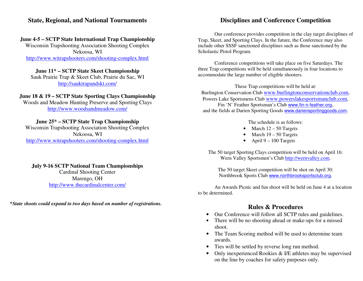### **State, Regional, and National Tournaments**

#### **June 4-5 – SCTP State International Trap Championship**

Wisconsin Trapshooting Association Shooting ComplexNekoosa, WI http://www.witrapshooters.com/shooting-complex.html

#### **June 11\* – SCTP State Skeet Championship**

 Sauk Prairie Trap & Skeet Club, Prairie du Sac, WI http://sauktrapandskt.com/

#### **June 18 & 19 – SCTP State Sporting Clays Championship**

Woods and Meadow Hunting Preserve and Sporting Clays http://www.woodsandmeadow.com/

### **June 25\* – SCTP State Trap Championship**

 Wisconsin Trapshooting Association Shooting ComplexNekoosa, WI http://www.witrapshooters.com/shooting-complex.html

### **July 9-16 SCTP National Team Championships**

Cardinal Shooting Center Marengo, OH http://www.thecardinalcenter.com/

**\****State shoots could expand to two days based on number of registrations.*

# **Disciplines and Conference Competition**

Our conference provides competition in the clay target disciplines of Trap, Skeet, and Sporting Clays. In the future, the Conference may also include other SSSF sanctioned disciplines such as those sanctioned by the Scholastic Pistol Program.

Conference competitions will take place on five Saturdays. The three Trap competitions will be held simultaneously in four locations to accommodate the large number of eligible shooters.

These Trap competitions will be held at: Burlington Conservation Club www.burlingtonconservationclub.com, Powers Lake Sportsmens Club www.powerslakesportsmanclub.com, Fin 'N' Feather Sportsman's Club www.fin-n-feather.org, and the fields at Darien Sporting Goods **www.dariensportinggoods.com.** 

The schedule is as follows:

- March  $12 50$  Targets
- March 19 50 Targets
- April 9 100 Targets

The 50 target Sporting Clays competition will be held on April 16: Wern Valley Sportsmen's Club http://wernvalley.com.

The 50 target Skeet competition will be shot on April 30: Northbrook Sports Club www.northbrooksportsclub.org.

An Awards Picnic and fun shoot will be held on June 4 at a location to be determined.

## **Rules & Procedures**

- •Our Conference will follow all SCTP rules and guidelines.
- $\bullet$  There will be no shooting ahead or make-ups for a missed shoot.
- The Team Scoring method will be used to determine team awards.
- Ties will be settled by reverse long run method.
- • Only inexperienced Rookies & I/E athletes may be supervised on the line by coaches for safety purposes only.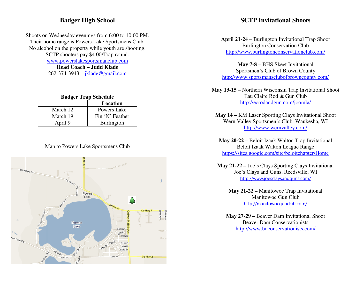## **Badger High School**

Shoots on Wednesday evenings from 6:00 to 10:00 PM.Their home range is Powers Lake Sportsmens Club. No alcohol on the property while youth are shooting. SCTP shooters pay \$4.00/Trap round. www.powerslakesportsmanclub.com**Head Coach – Judd Klade** 262-374-3943 – <u>jklade@gmail.com</u>

### **Badger Trap Schedule**

|          | Location          |
|----------|-------------------|
| March 12 | Powers Lake       |
| March 19 | Fin 'N' Feather   |
| April 9  | <b>Burlington</b> |

### Map to Powers Lake Sportsmens Club



## **SCTP Invitational Shoots**

**April 21-24** – Burlington Invitational Trap Shoot Burlington Conservation Club http://www.burlingtonconservationclub.com/

**May 7-8 –** BHS Skeet Invitational Sportsmen's Club of Brown County http://www.sportsmansclubofbrowncounty.com/

**May 13-15** – Northern Wisconsin Trap Invitational Shoot Eau Claire Rod & Gun Club http://ecrodandgun.com/joomla/

**May 14 –** KM Laser Sporting Clays Invitational Shoot Wern Valley Sportsmen's Club, Waukesha, WI http://www.wernvalley.com/

**May 20-22 –** Beloit Izaak Walton Trap Invitational Beloit Izaak Walton League Range https://sites.google.com/site/beloitchapter/Home

**May 21-22 –** Joe's Clays Sporting Clays Invitational Joe's Clays and Guns, Reedsville, WI http://www.joesclaysandguns.com/

> **May 21-22 –** Manitowoc Trap Invitational Manitowoc Gun Club http://manitowocgunclub.com/

**May 27-29 –** Beaver Dam Invitational Shoot Beaver Dam Conservationists http://www.bdconservationists.com/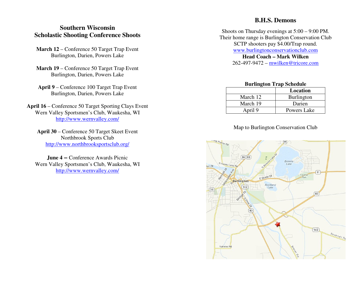# **Southern Wisconsin Scholastic Shooting Conference Shoots**

- **March 12** Conference 50 Target Trap Event Burlington, Darien, Powers Lake
- **March 19** Conference 50 Target Trap Event Burlington, Darien, Powers Lake
- **April 9** Conference 100 Target Trap Event Burlington, Darien, Powers Lake
- **April 16** Conference 50 Target Sporting Clays Event Wern Valley Sportsmen's Club, Waukesha, WI http://www.wernvalley.com/
	- **April 30** Conference 50 Target Skeet Event Northbrook Sports Club http://www.northbrooksportsclub.org/

**June 4 – Conference Awards Picnic**  Wern Valley Sportsmen's Club, Waukesha, WI http://www.wernvalley.com/

# **B.H.S. Demons**

Shoots on Thursday evenings at 5:00 – 9:00 PM. Their home range is Burlington Conservation Club SCTP shooters pay \$4.00/Trap round. www.burlingtonconservationclub.com**Head Coach – Mark Wilken** 

262-497-9472 – mwilken@tricore.com

| <b>Burlington Trap Schedule</b> |                   |
|---------------------------------|-------------------|
|                                 | Location          |
| March 12                        | <b>Burlington</b> |
| March 19                        | Darien            |
| April 9                         | Powers Lake       |

### Map to Burlington Conservation Club

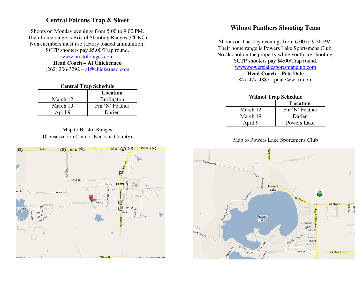# **Central Falcons Trap & Skeet**

Shoots on Monday evenings from 5:00 to 9:00 PM. Their home range is Bristol Shooting Ranges (CCKC) Non-members must use factory loaded ammunition! SCTP shooters pay \$5.00/Trap round.

www.bristolranges.com

 **Head Coach – Al Chickerneo** (262) 206-3292 – al@chickerneo.com

### **Central Trap Schedule**

|          | Location          |
|----------|-------------------|
| March 12 | <b>Burlington</b> |
| March 19 | Fin 'N' Feather   |
| April 9  | Darien            |

### Map to Bristol Ranges (Conservation Club of Kenosha County)



# **Wilmot Panthers Shooting Team**

Shoots on Tuesday evenings from 6:00 to 9:30 PM. Their home range is Powers Lake Sportsmens Club. No alcohol on the property while youth are shooting. SCTP shooters pay \$4:00/Trap round. www.powerslakesportsmanclub.com

> **Head Coach – Pete Dale** 847-477-4882 - pdale@wi.rr.com

#### **Wilmot Trap Schedule**

|          | Location        |
|----------|-----------------|
| March 12 | Fin 'N' Feather |
| March 19 | Darien          |
| April 9  | Powers Lake     |

### Map to Powers Lake Sportsmens Club

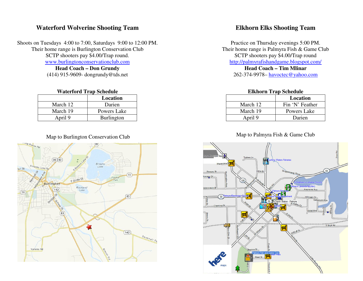## **Waterford Wolverine Shooting Team**

Shoots on Tuesdays 4:00 to 7:00, Saturdays 9:00 to 12:00 PM. Their home range is Burlington Conservation Club SCTP shooters pay \$4.00/Trap round. www.burlingtonconservationclub.com

**Head Coach – Don Grundy** (414) 915-9609- dongrundy@tds.net

#### **Waterford Trap Schedule**

|          | Location    |
|----------|-------------|
| March 12 | Darien      |
| March 19 | Powers Lake |
| April 9  | Burlington  |

### Map to Burlington Conservation Club



## **Elkhorn Elks Shooting Team**

Practice on Thursday evenings 5:00 PM. Their home range is Palmyra Fish & Game Club SCTP shooters pay \$4.00/Trap round http://palmyrafishandgame.blogspot.com/

**Head Coach – Tim Mlinar** 262-374-9978– <u>havoctec@yahoo.com</u>

#### **Elkhorn Trap Schedule**

|          | Location        |
|----------|-----------------|
| March 12 | Fin 'N' Feather |
| March 19 | Powers Lake     |
| April 9  | Darien          |